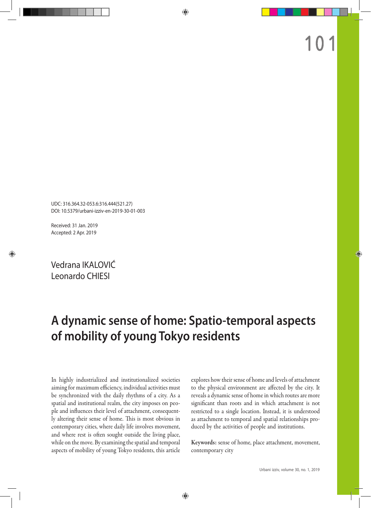UDC: 316.364.32-053.6:316.444(521.27) DOI: 10.5379/urbani-izziv-en-2019-30-01-003

Received: 31 Jan. 2019 Accepted: 2 Apr. 2019

Vedrana IKALOVIĆ Leonardo CHIESI

# **A dynamic sense of home: Spatio-temporal aspects of mobility of young Tokyo residents**

In highly industrialized and institutionalized societies aiming for maximum efficiency, individual activities must be synchronized with the daily rhythms of a city. As a spatial and institutional realm, the city imposes on people and influences their level of attachment, consequently altering their sense of home. This is most obvious in contemporary cities, where daily life involves movement, and where rest is often sought outside the living place, while on the move. By examining the spatial and temporal aspects of mobility of young Tokyo residents, this article

explores how their sense of home and levels of attachment to the physical environment are affected by the city. It reveals a dynamic sense of home in which routes are more significant than roots and in which attachment is not restricted to a single location. Instead, it is understood as attachment to temporal and spatial relationships produced by the activities of people and institutions.

Keywords: sense of home, place attachment, movement, contemporary city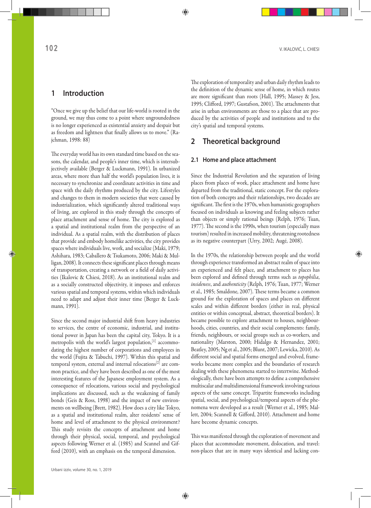## **1 Introduction**

"Once we give up the belief that our life-world is rooted in the ground, we may thus come to a point where ungroundedness is no longer experienced as existential anxiety and despair but as freedom and lightness that finally allows us to move." (Rajchman, 1998: 88)

The everyday world has its own standard time based on the seasons, the calendar, and people's inner time, which is intersubjectively available (Berger & Luckmann, 1991). In urbanized areas, where more than half the world's population lives, it is necessary to synchronize and coordinate activities in time and space with the daily rhythms produced by the city. Lifestyles and changes to them in modern societies that were caused by industrialization, which significantly altered traditional ways of living, are explored in this study through the concepts of place attachment and sense of home. The city is explored as a spatial and institutional realm from the perspective of an individual. As a spatial realm, with the distribution of places that provide and embody homelike activities, the city provides spaces where individuals live, work, and socialize (Maki, 1979; Ashihara, 1983; Caballero & Tsukamoto, 2006; Maki & Mulligan, 2008). It connects these significant places through means of transportation, creating a network or a field of daily activities (Ikalovic & Chiesi, 2018). As an institutional realm and as a socially constructed objectivity, it imposes and enforces various spatial and temporal systems, within which individuals need to adapt and adjust their inner time (Berger & Luckmann, 1991).

Since the second major industrial shift from heavy industries to services, the centre of economic, industrial, and institutional power in Japan has been the capital city, Tokyo. It is a metropolis with the world's largest population,<sup>[1]</sup> accommodating the highest number of corporations and employees in the world (Fujita & Tabuchi, 1997). Within this spatial and temporal system, external and internal relocations<sup>[2]</sup> are common practice, and they have been described as one of the most interesting features of the Japanese employment system. As a consequence of relocations, various social and psychological implications are discussed, such as the weakening of family bonds (Geis & Ross, 1998) and the impact of new environments on wellbeing (Brett, 1982). How does a city like Tokyo, as a spatial and institutional realm, alter residents' sense of home and level of attachment to the physical environment? This study revisits the concepts of attachment and home through their physical, social, temporal, and psychological aspects following Werner et al. (1985) and Scannel and Gifford (2010), with an emphasis on the temporal dimension.

The exploration of temporality and urban daily rhythm leads to the definition of the dynamic sense of home, in which routes are more significant than roots (Hall, 1995; Massey & Jess, 1995; Clifford, 1997; Gustafson, 2001). The attachments that arise in urban environments are those to a place that are produced by the activities of people and institutions and to the city's spatial and temporal systems.

## **2 Theoretical background**

#### **2.1 Home and place attachment**

Since the Industrial Revolution and the separation of living places from places of work, place attachment and home have departed from the traditional, static concept. For the exploration of both concepts and their relationships, two decades are significant. The first is the 1970s, when humanistic geographers focused on individuals as knowing and feeling subjects rather than objects or simply rational beings (Relph, 1976; Tuan, 1977). The second is the 1990s, when tourism (especially mass tourism) resulted in increased mobility, threatening rootedness as its negative counterpart (Urry, 2002; Augé, 2008).

In the 1970s, the relationship between people and the world through experience transformed an abstract realm of space into an experienced and felt place, and attachment to places has been explored and defined through terms such as *topophilia*, *insideness*, and *authenticity* (Relph, 1976; Tuan, 1977; Werner et al., 1985; Smaldone, 2007). These terms became a common ground for the exploration of spaces and places on different scales and within different borders (either in real, physical entities or within conceptual, abstract, theoretical borders). It became possible to explore attachment to houses, neighbourhoods, cities, countries, and their social complements: family, friends, neighbours, or social groups such as co-workers, and nationality (Marston, 2000; Hidalgo & Hernandez, 2001; Beatley, 2005; Ng et al., 2005; Blunt, 2007; Lewicka, 2010). As different social and spatial forms emerged and evolved, frameworks became more complex and the boundaries of research dealing with these phenomena started to intertwine. Methodologically, there have been attempts to define a comprehensive multiscalar and multidimensional framework involving various aspects of the same concept. Tripartite frameworks including spatial, social, and psychological/temporal aspects of the phenomena were developed as a result (Werner et al., 1985; Mallett, 2004; Scannell & Gifford, 2010). Attachment and home have become dynamic concepts.

This was manifested through the exploration of movement and places that accommodate movement, dislocation, and travel: non-places that are in many ways identical and lacking con-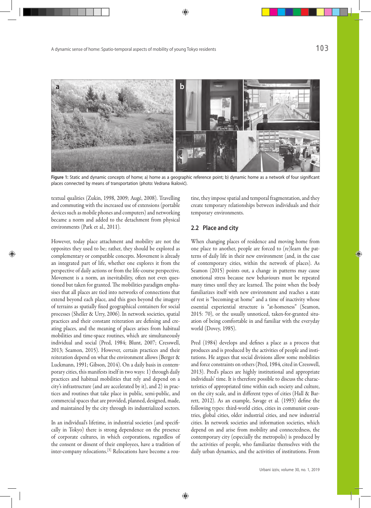

**Figure 1:** Static and dynamic concepts of home; a) home as a geographic reference point; b) dynamic home as a network of four significant places connected by means of transportation (photo: Vedrana Ikalović).

textual qualities (Zukin, 1998, 2009; Augé, 2008). Travelling and commuting with the increased use of extensions (portable devices such as mobile phones and computers) and networking became a norm and added to the detachment from physical environments (Park et al., 2011).

However, today place attachment and mobility are not the opposites they used to be; rather, they should be explored as complementary or compatible concepts. Movement is already an integrated part of life, whether one explores it from the perspective of daily actions or from the life-course perspective. Movement is a norm, an inevitability, often not even questioned but taken for granted. The mobilities paradigm emphasises that all places are tied into networks of connections that extend beyond each place, and this goes beyond the imagery of terrains as spatially fixed geographical containers for social processes (Sheller & Urry, 2006). In network societies, spatial practices and their constant reiteration are defining and creating places, and the meaning of places arises from habitual mobilities and time-space routines, which are simultaneously individual and social (Pred, 1984; Blunt, 2007; Cresswell, 2013; Seamon, 2015). However, certain practices and their reiteration depend on what the environment allows (Berger & Luckmann, 1991; Gibson, 2014). On a daily basis in contemporary cities, this manifests itself in two ways: 1) through daily practices and habitual mobilities that rely and depend on a city's infrastructure (and are accelerated by it), and 2) in practices and routines that take place in public, semi-public, and commercial spaces that are provided, planned, designed, made, and maintained by the city through its industrialized sectors.

In an individual's lifetime, in industrial societies (and specifically in Tokyo) there is strong dependence on the presence of corporate cultures, in which corporations, regardless of the consent or dissent of their employees, have a tradition of inter-company relocations.[3] Relocations have become a routine, they impose spatial and temporal fragmentation, and they create temporary relationships between individuals and their temporary environments.

## **2.2 Place and city**

When changing places of residence and moving home from one place to another, people are forced to (re)learn the patterns of daily life in their new environment (and, in the case of contemporary cities, within the network of places). As Seamon (2015) points out, a change in patterns may cause emotional stress because new behaviours must be repeated many times until they are learned. The point when the body familiarizes itself with new environment and reaches a state of rest is "becoming-at home" and a time of inactivity whose essential experiential structure is "at-homeness" (Seamon, 2015: 70), or the usually unnoticed, taken-for-granted situation of being comfortable in and familiar with the everyday world (Dovey, 1985).

Pred (1984) develops and defines a place as a process that produces and is produced by the activities of people and institutions. He argues that social divisions allow some mobilities and force constraints on others (Pred, 1984, cited in Cresswell, 2013). Pred's places are highly institutional and appropriate individuals' time. It is therefore possible to discuss the characteristics of appropriated time within each society and culture, on the city scale, and in different types of cities (Hall & Barrett, 2012). As an example, Savage et al. (1993) define the following types: third-world cities, cities in communist countries, global cities, older industrial cities, and new industrial cities. In network societies and information societies, which depend on and arise from mobility and connectedness, the contemporary city (especially the metropolis) is produced by the activities of people, who familiarize themselves with the daily urban dynamics, and the activities of institutions. From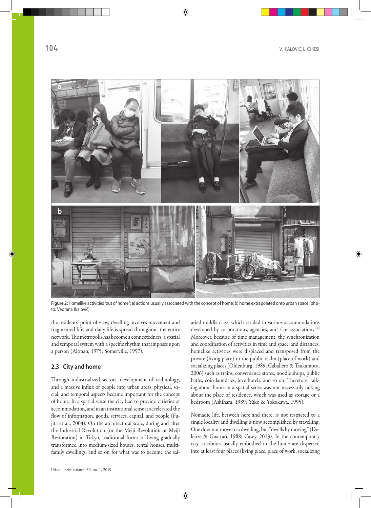

**Figure 2:** Homelike activities "out of home"; a) actions usually associated with the concept of home; b) home extrapolated onto urban space (photo: Vedrana Ikalović).

the residents' point of view*,* dwelling involves movement and fragmented life, and daily life is spread throughout the entire network. The metropolis has become a connectedness, a spatial and temporal system with a specific rhythm that imposes upon a person (Altman, 1975; Somerville, 1997).

## **2.3 City and home**

Through industrialized sectors, development of technology, and a massive influx of people into urban areas, physical, social, and temporal aspects became important for the concept of home. In a spatial sense the city had to provide varieties of accommodation, and in an institutional sense it accelerated the flow of information, goods, services, capital, and people (Fujita et al., 2004). On the architectural scale, during and after the Industrial Revolution (or the Meiji Revolution or Meiji Restoration) in Tokyo, traditional forms of living gradually transformed into medium-sized houses, rental houses, multifamily dwellings, and so on for what was to become the salaried middle class, which resided in various accommodations developed by corporations, agencies, and / or associations.<sup>[4]</sup> Moreover, because of time management, the synchronisation and coordination of activities in time and space, and distances, homelike activities were displaced and transposed from the private (living place) to the public realm (place of work) and socializing places (Oldenburg, 1989; Caballero & Tsukamoto, 2006) such as trains, convenience stores, noodle shops, public baths, coin laundries, love hotels, and so on. Therefore, talking about home in a spatial sense was not necessarily talking about the place of residence, which was used as storage or a bedroom (Ashihara, 1989; Yūko & Yokokawa, 1995).

Nomadic life, between here and there, is not restricted to a single locality and dwelling is now accomplished by travelling. One does not move to a dwelling, but "dwells by moving" (Deleuze & Guattari, 1988; Casey, 2013). In the contemporary city, attributes usually embodied in the home are dispersed into at least four places (living place, place of work, socializing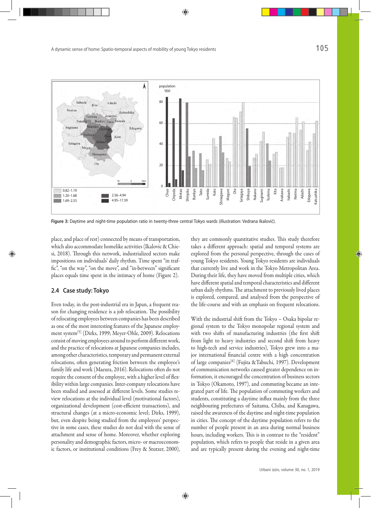

**Figure 3:** Daytime and night-time population ratio in twenty-three central Tokyo wards (illustration: Vedrana Ikalović).

place, and place of rest) connected by means of transportation, which also accommodate homelike activities (Ikalovic & Chiesi, 2018). Through this network, industrialized sectors make impositions on individuals' daily rhythm. Time spent "in traffic", "on the way", "on the move", and "in-between" significant places equals time spent in the intimacy of home (Figure 2).

#### **2.4 Case study: Tokyo**

Even today, in the post-industrial era in Japan, a frequent reason for changing residence is a job relocation. The possibility of relocating employees between companies has been described as one of the most interesting features of the Japanese employment system[5] (Dirks, 1999; Meyer-Ohle, 2009). Relocations consist of moving employees around to perform different work, and the practice of relocations at Japanese companies includes, among other characteristics, temporary and permanent external relocations, often generating friction between the employee's family life and work (Maeura, 2016). Relocations often do not require the consent of the employee, with a higher level of flexibility within large companies. Inter-company relocations have been studied and assessed at different levels. Some studies review relocations at the individual level (motivational factors), organizational development (cost-efficient transactions), and structural changes (at a micro-economic level; Dirks, 1999), but, even despite being studied from the employees' perspective in some cases, these studies do not deal with the sense of attachment and sense of home. Moreover, whether exploring personality and demographic factors, micro- or macroeconomic factors, or institutional conditions (Frey & Stutzer, 2000),

they are commonly quantitative studies. This study therefore takes a different approach: spatial and temporal systems are explored from the personal perspective, through the cases of young Tokyo residents. Young Tokyo residents are individuals that currently live and work in the Tokyo Metropolitan Area. During their life, they have moved from multiple cities, which have different spatial and temporal characteristics and different urban daily rhythms. The attachment to previously lived places is explored, compared, and analysed from the perspective of the life-course and with an emphasis on frequent relocations.

With the industrial shift from the Tokyo – Osaka bipolar regional system to the Tokyo monopolar regional system and with two shifts of manufacturing industries (the first shift from light to heavy industries and second shift from heavy to high-tech and service industries), Tokyo grew into a major international financial centre with a high concentration of large companies[6] (Fujita &Tabuchi, 1997). Development of communication networks caused greater dependence on information, it encouraged the concentration of business sectors in Tokyo (Okamoto, 1997), and commuting became an integrated part of life. The population of commuting workers and students, constituting a daytime influx mainly from the three neighbouring prefectures of Saitama, Chiba, and Kanagawa, raised the awareness of the daytime and night-time population in cities. The concept of the daytime population refers to the number of people present in an area during normal business hours, including workers. This is in contrast to the "resident" population, which refers to people that reside in a given area and are typically present during the evening and night-time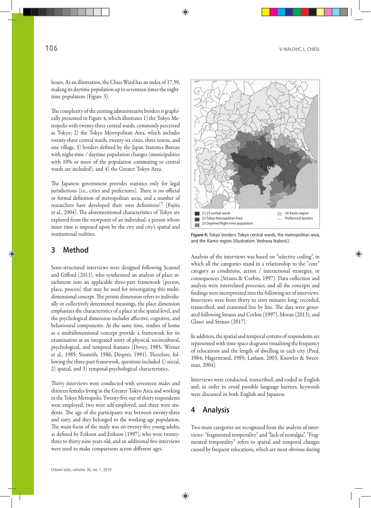hours. As an illustration, the Chuo Ward has an index of 17.39, making its daytime population up to seventeen times the nighttime population (Figure 3).

The complexity of the existing administrative borders is graphically presented in Figure 4, which illustrates 1) the Tokyo Metropolis with twenty-three central wards, commonly perceived as Tokyo; 2) the Tokyo Metropolitan Area, which includes twenty-three central wards, twenty-six cities, three towns, and one village, 3) borders defined by the Japan Statistics Bureau with night-time / daytime population changes (municipalities with 10% or more of the population commuting to central wards are included), and 4) the Greater Tokyo Area.

The Japanese government provides statistics only for legal jurisdictions (i.e., cities and prefectures). There is no official or formal definition of metropolitan areas, and a number of researchers have developed their own definitions<sup>[7]</sup> (Fujita et al., 2004). The aforementioned characteristics of Tokyo are explored from the viewpoint of an individual, a person whose inner time is imposed upon by the city and city's spatial and institutional realities.

## **3 Method**

Semi-structured interviews were designed following Scannel and Gifford (2011), who synthesized an analysis of place attachment into an applicable three-part framework (person, place, process) that may be used for investigating this multidimensional concept. The person dimension refers to individually or collectively determined meanings, the place dimension emphasizes the characteristics of a place at the spatial level, and the psychological dimension includes affective, cognitive, and behavioural components. At the same time, studies of home as a multidimensional concept provide a framework for its examination as an integrated unity of physical, sociocultural, psychological, and temporal features (Dovey, 1985; Werner et al., 1985; Sixsmith, 1986; Després, 1991). Therefore, following the three-part framework, questions included 1) social, 2) spatial, and 3) temporal-psychological characteristics.

Thirty interviews were conducted with seventeen males and thirteen females living in the Greater Tokyo Area and working in the Tokyo Metropolis. Twenty-five out of thirty respondents were employed, two were self-employed, and three were students. The age of the participants was between twenty-three and sixty, and they belonged to the working-age population. The main focus of the study was on twenty-five young adults, as defined by Erikson and Erikson (1997), who were twentythree to thirty-nine years old, and an additional five interviews were used to make comparisons across different ages.



**Figure 4:** Tokyo borders: Tokyo central wards, the metropolitan area, and the Kanto region (illustration: Vedrana Ikalović).

Analysis of the interviews was based on "selective coding", in which all the categories stand in a relationship to the "core" category as conditions, action / interactional strategies, or consequences (Strauss & Corbin, 1997). Data collection and analysis were interrelated processes, and all the concepts and findings were incorporated into the following set of interviews. Interviews were from thirty to sixty minutes long, recorded, transcribed, and examined line by line. The data were generated following Strauss and Corbin (1997), Moran (2013), and Glaser and Strauss (2017)

In addition, the spatial and temporal systems of respondents are represented with time-space diagrams visualising the frequency of relocations and the length of dwelling in each city (Pred, 1984; Hägerstrand, 1985; Latham, 2003; Knowles & Sweetman, 2004).

Interviews were conducted, transcribed, and coded in English and, in order to avoid possible language barriers, keywords were discussed in both English and Japanese.

## **4 Analysis**

Two main categories are recognized from the analysis of interviews: "fragmented temporality" and "lack of nostalgia". "Fragmented temporality" refers to spatial and temporal changes caused by frequent relocations, which are most obvious during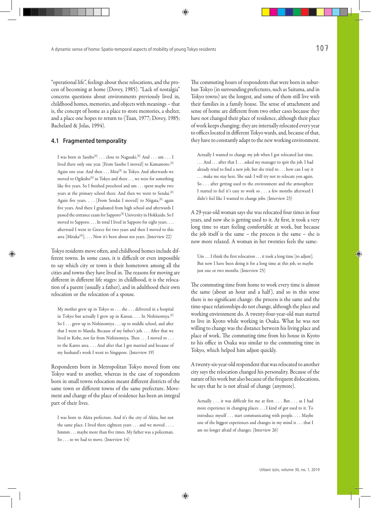"operational life", feelings about these relocations, and the process of becoming at home (Dovey, 1985). "Lack of nostalgia" concerns questions about environments previously lived in, childhood homes, memories, and objects with meanings – that is, the concept of home as a place to store memories, a shelter, and a place one hopes to return to (Tuan, 1977; Dovey, 1985; Bachelard & Jolas, 1994).

## **4.1 Fragmented temporality**

I was born in Sasebo<sup>[8]</sup> . . . close to Nagasaki.<sup>[8]</sup> And . . . um . . . I lived there only one year. [From Sasebo I moved] to Kumamoto.[8] Again one year. And then . . . Mita<sup>[8]</sup> in Tokyo. And afterwards we moved to Ogikubo<sup>[8]</sup> in Tokyo and there . . . we were for something like five years. So I finished preschool and um . . . spent maybe two years at the primary school there. And then we went to Sendai.[8] Again five years. . . . [From Sendai I moved] to Niigata,<sup>[8]</sup> again five years. And there I graduated from high school and afterwards I passed the entrance exam for Sapporo<sup>[8]</sup> University in Hokkaido. So I moved to Sapporo. . . . In total I lived in Sapporo for eight years. . . . afterward I went to Greece for two years and then I moved to this area [Mitaka<sup>[8]</sup>]. . . . Now it's been about ten years. (Interview 22)

Tokyo residents move often, and childhood homes include different towns. In some cases, it is difficult or even impossible to say which city or town is their hometown among all the cities and towns they have lived in. The reasons for moving are different in different life stages: in childhood, it is the relocation of a parent (usually a father), and in adulthood their own relocation or the relocation of a spouse.

My mother grew up in Tokyo so . . . she . . . delivered in a hospital in Tokyo but actually I grew up in Kansai. . . . In Nishinomiya.[8] So I . . . grew up in Nishinomiya . . . up to middle school, and after that I went to Manila. Because of my father's job. . . . After that we lived in Kobe, not far from Nishinomiya. Then . . . I moved to . . . to the Kanto area. . . . And after that I got married and because of my husband's work I went to Singapore. (Interview 19)

Respondents born in Metropolitan Tokyo moved from one Tokyo ward to another, whereas in the case of respondents born in small towns relocation meant different districts of the same town or different towns of the same prefecture. Movement and change of the place of residence has been an integral part of their lives.

I was born in Akita prefecture. And it's the city of Akita, but not the same place. I lived there eighteen years . . . and we moved . . . . hmmm . . . maybe more than five times. My father was a policeman. So . . . so we had to move. (Interview 14)

The commuting hours of respondents that were born in suburban Tokyo (in surrounding prefectures, such as Saitama, and in Tokyo towns) are the longest, and some of them still live with their families in a family house. The sense of attachment and sense of home are different from two other cases because they have not changed their place of residence, although their place of work keeps changing; they are internally relocated every year to offices located in different Tokyo wards, and, because of that, they have to constantly adapt to the new working environment.

Actually I wanted to change my job when I got relocated last time. ... And ... after that I ... asked my manager to quit the job. I had already tried to find a new job, but she tried to . . . how can I say it . . . make me stay here. She said: I will try not to relocate you again. So . . . after getting used to the environment and the atmosphere I started to feel it's easy to work so . . . a few months afterward I didn't feel like I wanted to change jobs. (Interview 23)

A 29-year-old woman says she was relocated four times in four years, and now she is getting used to it. At first, it took a very long time to start feeling comfortable at work, but because the job itself is the same – the process is the same – she is now more relaxed. A woman in her twenties feels the same:

Um . . . I think the first relocation . . . it took a long time [to adjust]. But now I have been doing it for a long time at this job, so maybe just one or two months. (Interview 25)

The commuting time from home to work every time is almost the same (about an hour and a half ), and so in this sense there is no significant change: the process is the same and the time-space relationships do not change, although the place and working environment do. A twenty-four-year-old man started to live in Kyoto while working in Osaka. What he was not willing to change was the distance between his living place and place of work. The commuting time from his house in Kyoto to his office in Osaka was similar to the commuting time in Tokyo, which helped him adjust quickly.

A twenty-six-year-old respondent that was relocated to another city says the relocation changed his personality. Because of the nature of his work but also because of the frequent dislocations, he says that he is not afraid of change (anymore).

Actually . . . it was difficult for me at first. . . . But . . . as I had more experience in changing places . . . I kind of got used to it. To introduce myself . . . start communicating with people. . . . Maybe one of the biggest experiences and changes in my mind is . . . that I am no longer afraid of changes. (Interview 26)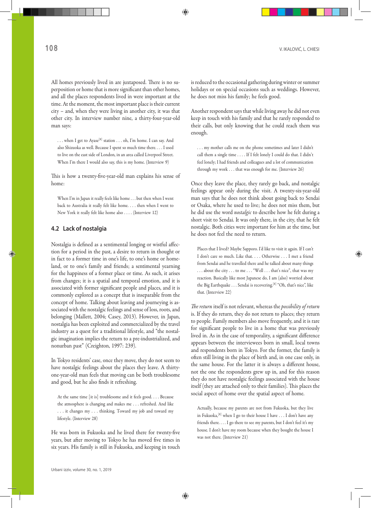All homes previously lived in are juxtaposed. There is no superposition or home that is more significant than other homes, and all the places respondents lived in were important at the time. At the moment, the most important place is their current city – and, when they were living in another city, it was that other city. In interview number nine, a thirty-four-year-old man says:

. . . when I get to Ayase[8] station . . . oh, I'm home. I can say. And also Shizuoka as well. Because I spent so much time there. . . . I used to live on the east side of London, in an area called Liverpool Street. When I'm there I would also say, this is my home. (Interview 9)

This is how a twenty-five-year-old man explains his sense of home:

When I'm in Japan it really feels like home . . . but then when I went back to Australia it really felt like home. . . . then when I went to New York it really felt like home also . . . . (Interview 12)

## **4.2 Lack of nostalgia**

Nostalgia is defined as a sentimental longing or wistful affection for a period in the past, a desire to return in thought or in fact to a former time in one's life, to one's home or homeland, or to one's family and friends; a sentimental yearning for the happiness of a former place or time. As such, it arises from changes; it is a spatial and temporal emotion, and it is associated with former significant people and places, and it is commonly explored as a concept that is inseparable from the concept of home. Talking about leaving and journeying is associated with the nostalgic feelings and sense of loss, roots, and belonging (Mallett, 2004; Casey, 2013). However, in Japan, nostalgia has been exploited and commercialized by the travel industry as a quest for a traditional lifestyle, and "the nostalgic imagination implies the return to a pre-industrialized, and nonurban past" (Creighton, 1997: 239).

In Tokyo residents' case, once they move, they do not seem to have nostalgic feelings about the places they leave. A thirtyone-year-old man feels that moving can be both troublesome and good, but he also finds it refreshing.

At the same time [it is] troublesome and it feels good. . . . Because the atmosphere is changing and makes me . . . refreshed. And like . . . it changes my . . . thinking. Toward my job and toward my lifestyle. (Interview 28)

He was born in Fukuoka and he lived there for twenty-five years, but after moving to Tokyo he has moved five times in six years. His family is still in Fukuoka, and keeping in touch is reduced to the occasional gathering during winter or summer holidays or on special occasions such as weddings. However, he does not miss his family; he feels good.

Another respondent says that while living away he did not even keep in touch with his family and that he rarely responded to their calls, but only knowing that he could reach them was enough.

. . . my mother calls me on the phone sometimes and later I didn't call them a single time . . . . If I felt lonely I could do that. I didn't feel lonely; I had friends and colleagues and a lot of communication through my work . . . that was enough for me. (Interview 26)

Once they leave the place, they rarely go back, and nostalgic feelings appear only during the visit. A twenty-six-year-old man says that he does not think about going back to Sendai or Osaka, where he used to live; he does not miss them, but he did use the word *nostalgic* to describe how he felt during a short visit to Sendai. It was only there, in the city, that he felt nostalgic. Both cities were important for him at the time, but he does not feel the need to return.

Places that I lived? Maybe Sapporo. I'd like to visit it again. If I can't I don't care so much. Like that. . . . Otherwise . . . I met a friend from Sendai and he travelled there and he talked about many things . . . about the city . . . to me . . . "Well . . . that's nice", that was my reaction. Basically like most Japanese do, I am (also) worried about the Big Earthquake . . . Sendai is recovering.<sup>[8]</sup> "Oh, that's nice", like that. (Interview 22)

*The return* itself is not relevant, whereas the *possibility of return* is. If they do return, they do not return to places; they return to people. Family members also move frequently, and it is rare for significant people to live in a home that was previously lived in. As in the case of temporality, a significant difference appears between the interviewees born in small, local towns and respondents born in Tokyo. For the former, the family is often still living in the place of birth and, in one case only, in the same house. For the latter it is always a different house, not the one the respondents grew up in, and for this reason they do not have nostalgic feelings associated with the house itself (they are attached only to their families). This places the social aspect of home over the spatial aspect of home.

Actually, because my parents are not from Fukuoka, but they live in Fukuoka, <a>[8]</a> when I go to their house I have . . . I don't have any friends there. . . . I go there to see my parents, but I don't feel it's my house. I don't have my room because when they bought the house I was not there. (Interview 21)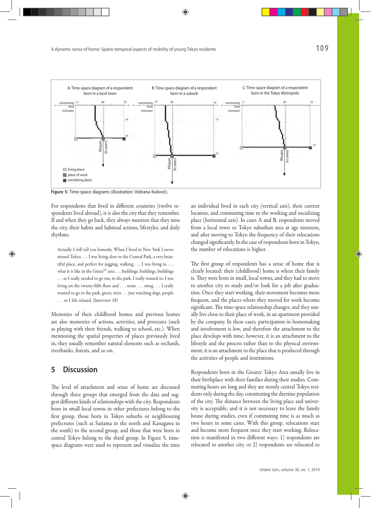

**Figure 5:** Time-space diagrams (illustration: Vedrana Ikalović).

For respondents that lived in different countries (twelve respondents lived abroad), it is also the city that they remember. If and when they go back, they always mention that they miss the city, their habits and habitual actions, lifestyles, and daily rhythms.

Actually I will tell you honestly. When I lived in New York I never missed Tokyo. . . . I was living close to the Central Park, a very beautiful place, and perfect for jogging, walking . . . I was living in . . . what it is like in the Ginza<sup>[8]</sup> area  $\dots$  buildings, buildings, buildings . . . so I really needed to go out, to the park. I really wanted to. I was living on the twenty-fifth floor and . . . noise . . . smog . . . I really wanted to go to the park, green, trees . . . just watching dogs, people . . . so I felt relaxed. (Interview 18)

Memories of their childhood homes and previous homes are also memories of actions, activities, and processes (such as playing with their friends, walking to school, etc.). When mentioning the spatial properties of places previously lived in, they usually remember natural elements such as orchards, riverbanks, forests, and so on.

## **5 Discussion**

The level of attachment and sense of home are discussed through three groups that emerged from the data and suggest different kinds of relationships with the city. Respondents born in small local towns in other prefectures belong to the first group, those born in Tokyo suburbs or neighbouring prefectures (such as Saitama in the north and Kanagawa in the south) to the second group, and those that were born in central Tokyo belong to the third group. In Figure 5, timespace diagrams were used to represent and visualize the time an individual lived in each city (vertical axis), their current location, and commuting time to the working and socializing place (horizontal axis). In cases A and B, respondents moved from a local town or Tokyo suburban area at age nineteen, and after moving to Tokyo the frequency of their relocations changed significantly. In the case of respondents born in Tokyo, the number of relocations is higher.

The first group of respondents has a sense of home that is clearly located: their (childhood) home is where their family is. They were born in small, local towns, and they had to move to another city to study and/or look for a job after graduation. Once they start working, their movement becomes more frequent, and the places where they moved for work become significant. The time-space relationship changes, and they usually live close to their place of work, in an apartment provided by the company. In these cases, participation in homemaking and involvement is low, and therefore the attachment to the place develops with time; however, it is an attachment to the lifestyle and the process rather than to the physical environment; it is an attachment to the place that is produced through the activities of people and institutions.

Respondents born in the Greater Tokyo Area usually live in their birthplace with their families during their studies. Commuting hours are long and they are mostly central Tokyo residents only during the day, constituting the daytime population of the city. The distance between the living place and university is acceptable, and it is not necessary to leave the family house during studies, even if commuting time is as much as two hours in some cases. With this group, relocations start and become more frequent once they start working. Relocation is manifested in two different ways: 1) respondents are relocated to another city, or 2) respondents are relocated to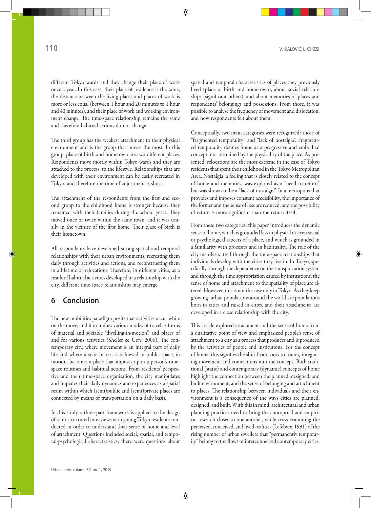different Tokyo wards and they change their place of work once a year. In this case, their place of residence is the same, the distance between the living places and places of work is more or less equal (between 1 hour and 20 minutes to 1 hour and 40 minutes), and their place of work and working environment change. The time-space relationship remains the same and therefore habitual actions do not change.

The third group has the weakest attachment to their physical environment and is the group that moves the most. In this group, place of birth and hometown are two different places. Respondents move mostly within Tokyo wards and they are attached to the process, to the lifestyle. Relationships that are developed with their environment can be easily recreated in Tokyo, and therefore the time of adjustment is short.

The attachment of the respondents from the first and second group to the childhood home is stronger because they remained with their families during the school years. They moved once or twice within the same town, and it was usually in the vicinity of the first home. Their place of birth is their hometown.

All respondents have developed strong spatial and temporal relationships with their urban environments, recreating them daily through activities and actions, and reconstructing them in a lifetime of relocations. Therefore, in different cities, as a result of habitual activities developed in a relationship with the city, different time-space relationships may emerge.

## **6 Conclusion**

The new mobilities paradigm posits that activities occur while on the move, and it examines various modes of travel as forms of material and sociable "dwelling-in-motion", and places of and for various activities (Sheller & Urry, 2006). The contemporary city, where movement is an integral part of daily life and where a state of rest is achieved in public space, in motion, becomes a place that imposes upon a person's timespace routines and habitual actions. From residents' perspective and their time-space organisation, the city manipulates and impedes their daily dynamics and experiences as a spatial realm within which (semi)public and (semi)private places are connected by means of transportation on a daily basis.

In this study, a three-part framework is applied to the design of semi-structured interviews with young Tokyo residents conducted in order to understand their sense of home and level of attachment. Questions included social, spatial, and temporal-psychological characteristics; there were questions about spatial and temporal characteristics of places they previously lived (place of birth and hometown), about social relationships (significant others), and about memories of places and respondents' belongings and possessions. From those, it was possible to analyse the frequency of movement and dislocation, and how respondents felt about them.

Conceptually, two main categories were recognized: those of "fragmented temporality" and "lack of nostalgia". Fragmented temporality defines home as a progressive and embodied concept, not restrained by the physicality of the place. As presented, relocations are the most extreme in the case of Tokyo residents that spent their childhood in the Tokyo Metropolitan Area. Nostalgia, a feeling that is closely related to the concept of home and memories, was explored as a "need to return" but was shown to be a "lack of nostalgia". In a metropolis that provides and imposes constant accessibility, the importance of the former and the sense of loss are reduced, and the possibility of return is more significant than the return itself.

From these two categories, this paper introduces the dynamic sense of home, which is grounded less in physical or even social or psychological aspects of a place, and which is grounded in a familiarity with processes and in habituality. The role of the city manifests itself through the time-space relationships that individuals develop with the cities they live in. In Tokyo, specifically, through the dependence on the transportation system and through the time appropriation caused by institutions, the sense of home and attachment to the spatiality of place are altered. However, this is not the case only in Tokyo. As they keep growing, urban populations around the world are populations born in cities and raised in cities, and their attachments are developed in a close relationship with the city.

This article explored attachment and the sense of home from a qualitative point of view and emphasized people's sense of attachment to a city as a process that produces and is produced by the activities of people and institutions. For the concept of home, this signifies the shift from roots to routes*,* integrating movement and connections into the concept*.* Both traditional (static) and contemporary (dynamic) concepts of home highlight the connection between the planned, designed, and built environment, and the sense of belonging and attachment to places. The relationship between individuals and their environment is a consequence of the ways cities are planned, designed, and built. With this in mind, architectural and urban planning practices need to bring the conceptual and empirical research closer to one another, while cross-examining the perceived, conceived, and lived realities (Lefebvre, 1991) of the rising number of urban dwellers that "permanently temporarily" belong to the flows of interconnected contemporary cities.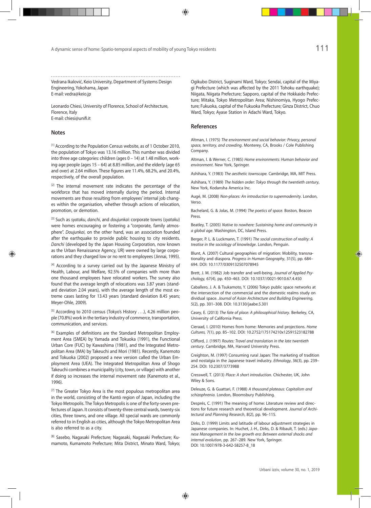Vedrana Ikalović, Keio University, Department of Systems Design Engineering, Yokohama, Japan E-mail: vedra@keio.jp

Leonardo Chiesi, University of Florence, School of Architecture, Florence, Italy E-mail: chiesi@unifi.it

#### **Notes**

[1] According to the Population Census website, as of 1 October 2010, the population of Tokyo was 13.16 million. This number was divided into three age categories: children (ages 0 – 14) at 1.48 million, working-age people (ages 15 – 64) at 8.85 million, and the elderly (age 65 and over) at 2.64 million. These figures are 11.4%, 68.2%, and 20.4%, respectively, of the overall population.

[2] The internal movement rate indicates the percentage of the workforce that has moved internally during the period. Internal movements are those resulting from employees' internal job changes within the organisation, whether through actions of relocation, promotion, or demotion.

[3] Such as *syataku*, *danchi*, and *doujunkai*: corporate towns (*syataku*) were homes encouraging or fostering a "corporate, family atmosphere". *Doujunkai*, on the other hand, was an association founded after the earthquake to provide public housing to city residents. *Danchi* (developed by the Japan Housing Corporation, now known as the Urban Renaissance Agency, UR) were owned by large corporations and they charged low or no rent to employees (Jinnai, 1995).

[4] According to a survey carried out by the Japanese Ministry of Health, Labour, and Welfare, 92.5% of companies with more than one thousand employees have relocated workers. The survey also found that the average length of relocations was 3.87 years (standard deviation 2.04 years), with the average length of the most extreme cases lasting for 13.43 years (standard deviation 8.45 years; Meyer-Ohle, 2009).

[5] According to 2010 census (Tokyo's History . . .), 4.26 million people (70.8%) work in the tertiary industry of commerce, transportation, communication, and services.

[6] Examples of definitions are the Standard Metropolitan Employment Area (SMEA) by Yamada and Tokuoka (1991), the Functional Urban Core (FUC) by Kawashima (1981), and the Integrated Metropolitan Area (IMA) by Takeuchi and Mori (1981). Recently, Kanemoto and Tokuoka (2002) proposed a new version called the Urban Employment Area (UEA). The Integrated Metropolitan Area of Shogo Takeuchi combines a municipality (city, town, or village) with another if doing so increases the internal movement rate (Kanemoto et al., 1996).

[7] The Greater Tokyo Area is the most populous metropolitan area in the world, consisting of the Kantō region of Japan, including the Tokyo Metropolis. The Tokyo Metropolis is one of the forty-seven prefectures of Japan. It consists of twenty-three central wards, twenty-six cities, three towns, and one village. All special wards are commonly referred to in English as cities, although the Tokyo Metropolitan Area is also referred to as a city.

[8] Sasebo, Nagasaki Prefecture; Nagasaki, Nagasaki Prefecture; Kumamoto, Kumamoto Prefecture; Mita District, Minato Ward, Tokyo; Ogikubo District, Suginami Ward, Tokyo; Sendai, capital of the Miyagi Prefecture (which was affected by the 2011 Tohoku earthquake); Niigata, Niigata Prefecture; Sapporo, capital of the Hokkaido Prefecture; Mitaka, Tokyo Metropolitan Area; Nishinomiya, Hyogo Prefecture; Fukuoka, capital of the Fukuoka Prefecture; Ginza District, Chuo Ward, Tokyo; Ayase Station in Adachi Ward, Tokyo.

#### **References**

Altman, I. (1975) *The environment and social behavior: Privacy, personal space, territory, and crowding*. Monterey, CA, Brooks / Cole Publishing Company.

Altman, I. & Werner, C. (1985) *Home environments: Human behavior and environment*. New York, Springer.

Ashihara, Y. (1983) *The aesthetic townscape.* Cambridge, MA, MIT Press.

Ashihara, Y. (1989) *The hidden order: Tokyo through the twentieth century*, New York, Kodansha America Inc.

Augé, M. (2008) *Non-places: An introduction to supermodernity*. London, Verso.

Bachelard, G. & Jolas, M. (1994) *The poetics of space.* Boston, Beacon **Press** 

Beatley, T. (2005) *Native to nowhere: Sustaining home and community in a global age*. Washington, DC, Island Press.

Berger, P. L. & Luckmann, T. (1991) *The social construction of reality: A treatise in the sociology of knowledge*. London, Penguin.

Blunt, A. (2007) Cultural geographies of migration: Mobility, transnationality and diaspora. *Progress in Human Geography*, 31(5), pp. 684– 694. DOI: 10.1177/0309132507078945

Brett, J. M. (1982) Job transfer and well-being. *Journal of Applied Psychology,* 67(4), pp. 450–463. DOI: 10.1037//0021-9010.67.4.450

Caballero, J. A. & Tsukamoto, Y. (2006) Tokyo public space networks at the intersection of the commercial and the domestic realms study on dividual space. *Journal of Asian Architecture and Building Engineering*, 5(2), pp. 301–308. DOI: 10.3130/jaabe.5.301

Casey, E. (2013) *The fate of place: A philosophical history*. Berkeley, CA, University of California Press.

Cieraad, I. (2010) Homes from home: Memories and projections. *Home Cultures,* 7(1), pp. 85–102. DOI: 10.2752/175174210x12591523182788

Clifford, J. (1997) *Routes: Travel and translation in the late twentieth century*. Cambridge, MA, Harvard University Press.

Creighton, M. (1997) Consuming rural Japan: The marketing of tradition and nostalgia in the Japanese travel industry. *Ethnology*, 36(3), pp. 239– 254. DOI: 10.2307/3773988

Cresswell, T. (2013) *Place: A short introduction*. Chichester, UK, John Wiley & Sons.

Deleuze, G. & Guattari, F. (1988) *A thousand plateaus: Capitalism and schizophrenia.* London, Bloomsbury Publishing.

Després, C. (1991) The meaning of home: Literature review and directions for future research and theoretical development. *Journal of Architectural and Planning Research*, 8(2), pp. 96–115.

Dirks, D. (1999) Limits and latitude of labour adjustment strategies in Japanese companies. In: Huchet, J.-H., Dirks, D. & Ribault, T. (eds.) *Japanese Management in the low growth era: Between external shocks and internal evolution*, pp. 267–289*.* New York, Springer. DOI: 10.1007/978-3-642-58257-8\_18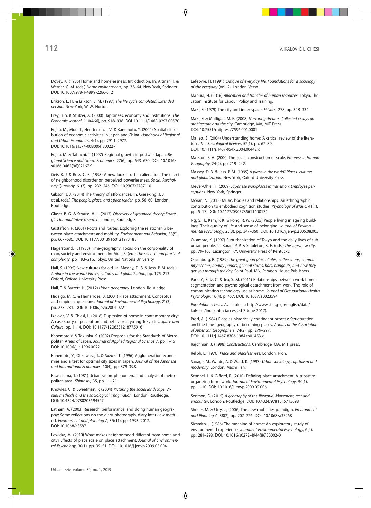Dovey, K. (1985) Home and homelessness: Introduction. In: Altman, I. & Werner, C. M. (eds.) *Home environments*, pp. 33–64*.* New York, Springer. DOI: 10.1007/978-1-4899-2266-3\_2

Erikson, E. H. & Erikson, J. M. (1997) *The life cycle completed: Extended version*. New York, W. W. Norton

Frey, B. S. & Stutzer, A. (2000) Happiness, economy and institutions. *The Economic Journal*, 110(466), pp. 918–938. DOI 10.1111/1468-0297.00570

Fujita, M., Mori, T., Henderson, J. V. & Kanemoto, Y. (2004) Spatial distribution of economic activities in Japan and China. *Handbook of Regional and Urban Economics*, 4(1), pp. 2911–2977. DOI: 10.1016/s1574-0080(04)80022-1

Fujita, M. & Tabuchi, T. (1997) Regional growth in postwar Japan. *Regional Science and Urban Economics*, 27(6), pp. 643–670. DOI: 10.1016/ s0166-0462(96)02167-9

Geis, K. J. & Ross, C. E. (1998) A new look at urban alienation: The effect of neighborhood disorder on perceived powerlessness. *Social Psychology Quarterly*, 61(3), pp. 232–246. DOI: 10.2307/2787110

Gibson, J. J. (2014) The theory of affordances. In: Gieseking, J. J. et al. (eds.) *The people, place, and space reader*, pp. 56–60. London, Routledge.

Glaser, B. G. & Strauss, A. L. (2017) *Discovery of grounded theory: Strategies for qualitative research*. London, Routledge.

Gustafson, P. (2001) Roots and routes: Exploring the relationship between place attachment and mobility. *Environment and Behavior*, 33(5), pp. 667–686. DOI: 10.1177/00139160121973188

Hägerstrand, T. (1985) Time-geography: Focus on the corporeality of man, society and environment. In: Aida, S. (ed.) *The science and praxis of complexity*, pp. 193–216. Tokyo, United Nations University.

Hall, S. (1995) New cultures for old. In: Massey, D. B. & Jess, P. M. (eds.) *A place in the world? Places, cultures and globalization*, pp. 175–213. Oxford, Oxford University Press.

Hall, T. & Barrett, H. (2012) *Urban geography.* London, Routledge.

Hidalgo, M. C. & Hernandez, B. (2001) Place attachment: Conceptual and empirical questions. *Journal of Environmental Psychology*, 21(3), pp. 273–281. DOI: 10.1006/jevp.2001.0221

Ikalović, V. & Chiesi, L. (2018) Dispersion of home in contemporary city: A case study of perception and behavior in young Tokyoites. *Space and Culture*, pp. 1–14. DOI: 10.1177/1206331218775916

Kanemoto Y. & Tokuoka K. (2002) Proposals for the Standards of Metropolitan Areas of Japan. *Journal of Applied Regional Science* 7, pp. 1–15. DOI: 10.1006/jjie.1996.0022

Kanemoto, Y., Ohkawara, T., & Suzuki, T. (1996) Agglomeration economies and a test for optimal city sizes in Japan. *Journal of the Japanese and International Economies*, 10(4), pp. 379–398.

Kawashima, T. (1981) Urbanization phenomena and analysis of metropolitan area. *Shintoshi*, 35, pp. 11–21.

Knowles, C. & Sweetman, P. (2004) *Picturing the social landscape: Visual methods and the sociological imagination.* London, Routledge. DOI: 10.4324/9780203694527

Latham, A. (2003) Research, performance, and doing human geography: Some reflections on the diary-photograph, diary-interview method. *Environment and planning A,* 35(11), pp. 1993–2017. DOI: 10.1068/a3587

Lewicka, M. (2010) What makes neighborhood different from home and city? Effects of place scale on place attachment. *Journal of Environmental Psychology*, 30(1), pp. 35–51. DOI: 10.1016/j.jenvp.2009.05.004

Lefebvre, H. (1991) *Critique of everyday life: Foundations for a sociology of the everyday* (Vol. 2). London, Verso.

Maeura, H. (2016) *Allocation and transfer of human resources*. Tokyo, The Japan Institute for Labour Policy and Training.

Maki, F. (1979) The city and inner space. *Ekistics*, 278, pp. 328–334.

Maki, F. & Mulligan, M. E. (2008) *Nurturing dreams: Collected essays on architecture and the city.* Cambridge, MA, MIT Press. DOI: 10.7551/mitpress/7596.001.0001

Mallett, S. (2004) Understanding home: A critical review of the literature. *The Sociological Review*, 52(1), pp. 62–89. DOI: 10.1111/j.1467-954x.2004.00442.x

Marston, S. A. (2000) The social construction of scale. *Progress in Human Geography*, 24(2), pp. 219–242.

Massey, D. B. & Jess, P. M. (1995) *A place in the world? Places, cultures and globalization*. New York, Oxford University Press.

Meyer-Ohle, H. (2009) *Japanese workplaces in transition: Employee perceptions.* New York, Springer.

Moran, N. (2013) Music, bodies and relationships: An ethnographic contribution to embodied cognition studies. *Psychology of Music*, 41(1), pp. 5–17. DOI: 10.1177/0305735611400174

Ng, S. H., Kam, P. K. & Pong, R. W. (2005) People living in ageing buildings: Their quality of life and sense of belonging. *Journal of Environmental Psychology*, 25(3), pp. 347–360. DOI: 10.1016/j.jenvp.2005.08.005

Okamoto, K. (1997) Suburbanization of Tokyo and the daily lives of suburban people. In: Karan, P. P. & Stapleton, K. E. (eds.) *The Japanese city*, pp. 79–105. Lexington, KY, University Press of Kentucky.

Oldenburg, R. (1989) *The great good place: Cafés, coffee shops, community centers, beauty parlors, general stores, bars, hangouts, and how they get you through the day.* Saint Paul, MN, Paragon House Publishers.

Park, Y., Fritz, C. & Jex, S. M. (2011) Relationships between work-home segmentation and psychological detachment from work: The role of communication technology use at home. *Journal of Occupational Health Psychology*, 16(4), p. 457. DOI: 10.1037/a0023594

*Population census*. Available at: http://www.stat.go.jp/english/data/ kokusei/index.htm (accessed 7 June 2017).

Pred, A. (1984) Place as historically contingent process: Structuration and the time–geography of becoming places. *Annals of the Association of American Geographers*, 74(2), pp. 279–297. DOI: 10.1111/j.1467-8306.1984.tb01453.x

Rajchman, J. (1998) *Constructions.* Cambridge, MA, MIT press.

Relph, E. (1976) *Place and placelessness*, London, Pion.

Savage, M., Warde, A. & Ward, K. (1993) *Urban sociology, capitalism and modernity*. London, Macmillan.

Scannel, L. & Gifford, R. (2010) Defining place attachment: A tripartite organizing framework. *Journal of Environmental Psychology*, 30(1), pp. 1–10. DOI: 10.1016/j.jenvp.2009.09.006

Seamon, D. (2015) *A geography of the lifeworld: Movement, rest and encounter*. London, Routledge. DOI: 10.4324/9781315715698

Sheller, M. & Urry, J., (2006) The new mobilities paradigm. *Environment and Planning A*, 38(2), pp. 207–226. DOI: 10.1068/a37268

Sixsmith, J. (1986) The meaning of home: An exploratory study of environmental experience. *Journal of Environmental Psychology*, 6(4), pp. 281–298. DOI: 10.1016/s0272-4944(86)80002-0